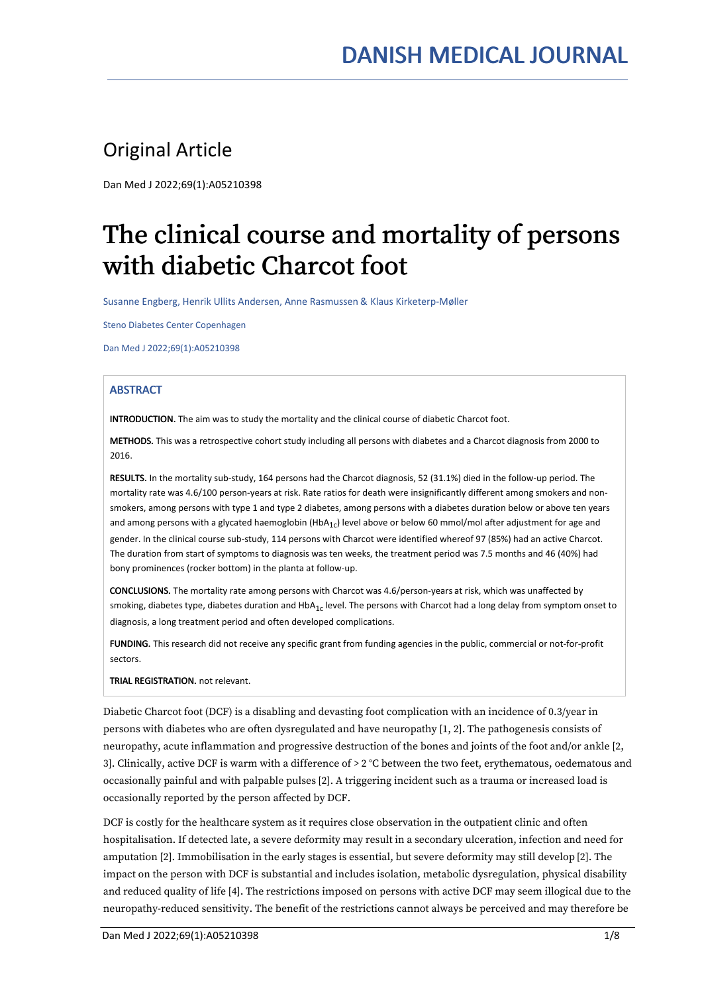# Original Article

Dan Med J 2022;69(1):A05210398

# The clinical course and mortality of persons with diabetic Charcot foot

Susanne Engberg, Henrik Ullits Andersen, Anne Rasmussen & Klaus Kirketerp-Møller

Steno Diabetes Center Copenhagen

Dan Med J 2022;69(1):A05210398

# **ABSTRACT**

INTRODUCTION. The aim was to study the mortality and the clinical course of diabetic Charcot foot.

METHODS. This was a retrospective cohort study including all persons with diabetes and a Charcot diagnosis from 2000 to 2016.

RESULTS. In the mortality sub-study, 164 persons had the Charcot diagnosis, 52 (31.1%) died in the follow-up period. The mortality rate was 4.6/100 person-years at risk. Rate ratios for death were insignificantly different among smokers and non smokers, among persons with type 1 and type 2 diabetes, among persons with a diabetes duration below or above ten years and among persons with a glycated haemoglobin (HbA<sub>1c</sub>) level above or below 60 mmol/mol after adjustment for age and gender. In the clinical course sub-study, 114 persons with Charcot were identified whereof 97 (85%) had an active Charcot. The duration from start of symptoms to diagnosis was ten weeks, the treatment period was 7.5 months and 46 (40%) had bony prominences (rocker bottom) in the planta at follow-up.

CONCLUSIONS. The mortality rate among persons with Charcot was 4.6/person-years at risk, which was unaffected by smoking, diabetes type, diabetes duration and HbA $_{1\rm c}$  level. The persons with Charcot had a long delay from symptom onset to  $\;$ diagnosis, a long treatment period and often developed complications.

FUNDING. This research did not receive any specific grant from funding agencies in the public, commercial or not-for-profit sectors.

TRIAL REGISTRATION. not relevant.

Diabetic Charcot foot (DCF) is a disabling and devasting foot complication with an incidence of 0.3/year in persons with diabetes who are often dysregulated and have neuropathy [1, 2]. The pathogenesis consists of neuropathy, acute inflammation and progressive destruction of the bones and joints of the foot and/or ankle [2, 3]. Clinically, active DCF is warm with a difference of > 2 °C between the two feet, erythematous, oedematous and occasionally painful and with palpable pulses [2]. A triggering incident such as a trauma or increased load is occasionally reported by the person affected by DCF.

DCF is costly for the healthcare system as it requires close observation in the outpatient clinic and often hospitalisation. If detected late, a severe deformity may result in a secondary ulceration, infection and need for amputation [2]. Immobilisation in the early stages is essential, but severe deformity may still develop [2]. The impact on the person with DCF is substantial and includes isolation, metabolic dysregulation, physical disability and reduced quality of life [4]. The restrictions imposed on persons with active DCF may seem illogical due to the neuropathy-reduced sensitivity. The benefit of the restrictions cannot always be perceived and may therefore be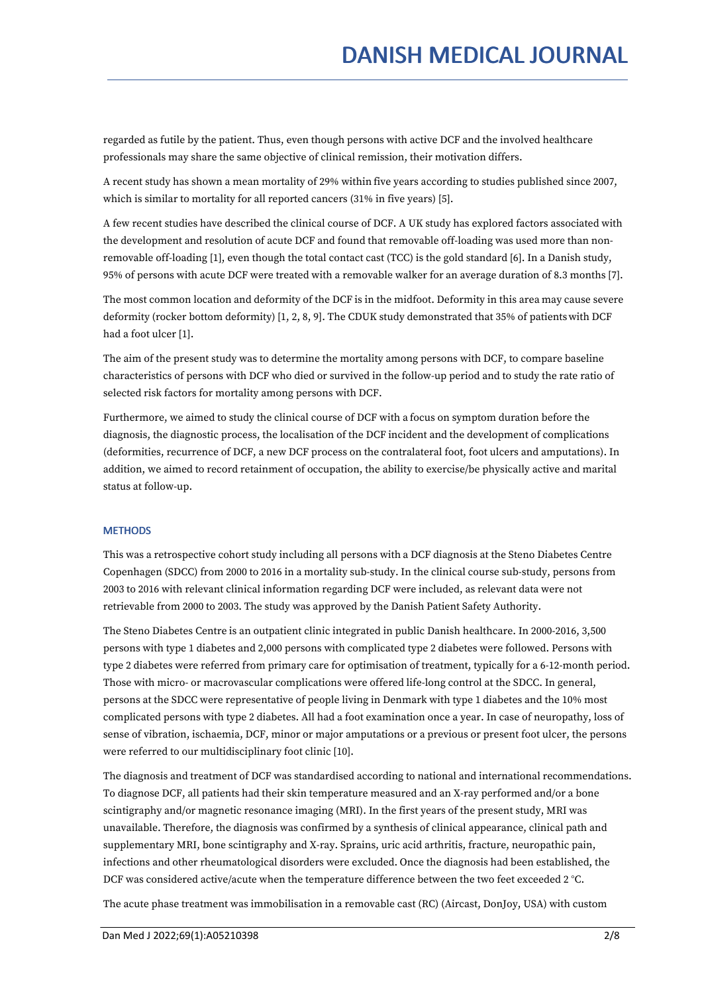regarded as futile by the patient. Thus, even though persons with active DCF and the involved healthcare professionals may share the same objective of clinical remission, their motivation differs.

A recent study has shown a mean mortality of 29% within five years according to studies published since 2007, which is similar to mortality for all reported cancers (31% in five years) [5].

A few recent studies have described the clinical course of DCF. A UK study has explored factors associated with the development and resolution of acute DCF and found that removable off-loading was used more than non removable off-loading [1], even though the total contact cast (TCC) is the gold standard [6]. In a Danish study, 95% of persons with acute DCF were treated with a removable walker for an average duration of 8.3 months [7].

The most common location and deformity of the DCF is in the midfoot. Deformity in this area may cause severe deformity (rocker bottom deformity) [1, 2, 8, 9]. The CDUK study demonstrated that 35% of patientswith DCF had a foot ulcer [1].

The aim of the present study was to determine the mortality among persons with DCF, to compare baseline characteristics of persons with DCF who died or survived in the follow-up period and to study the rate ratio of selected risk factors for mortality among persons with DCF.

Furthermore, we aimed to study the clinical course of DCF with a focus on symptom duration before the diagnosis, the diagnostic process, the localisation of the DCF incident and the development of complications (deformities, recurrence of DCF, a new DCF process on the contralateral foot, foot ulcers and amputations). In addition, we aimed to record retainment of occupation, the ability to exercise/be physically active and marital status at follow-up.

# **METHODS**

This was a retrospective cohort study including all persons with a DCF diagnosis at the Steno Diabetes Centre Copenhagen (SDCC) from 2000 to 2016 in a mortality sub-study. In the clinical course sub-study, persons from 2003 to 2016 with relevant clinical information regarding DCF were included, as relevant data were not retrievable from 2000 to 2003. The study was approved by the Danish Patient Safety Authority.

The Steno Diabetes Centre is an outpatient clinic integrated in public Danish healthcare. In 2000-2016, 3,500 persons with type 1 diabetes and 2,000 persons with complicated type 2 diabetes were followed. Persons with type 2 diabetes were referred from primary care for optimisation of treatment, typically for a 6-12-month period. Those with micro- or macrovascular complications were offered life-long control at the SDCC. In general, persons at the SDCC were representative of people living in Denmark with type 1 diabetes and the 10% most complicated persons with type 2 diabetes. All had a foot examination once a year. In case of neuropathy, loss of sense of vibration, ischaemia, DCF, minor or major amputations or a previous or present foot ulcer, the persons were referred to our multidisciplinary foot clinic [10].

The diagnosis and treatment of DCF was standardised according to national and international recommendations. To diagnose DCF, all patients had their skin temperature measured and an X-ray performed and/or a bone scintigraphy and/or magnetic resonance imaging (MRI). In the first years of the present study, MRI was unavailable. Therefore, the diagnosis was confirmed by a synthesis of clinical appearance, clinical path and supplementary MRI, bone scintigraphy and X-ray. Sprains, uric acid arthritis, fracture, neuropathic pain, infections and other rheumatological disorders were excluded. Once the diagnosis had been established, the DCF was considered active/acute when the temperature difference between the two feet exceeded 2 °C.

The acute phase treatment was immobilisation in a removable cast (RC) (Aircast, DonJoy, USA) with custom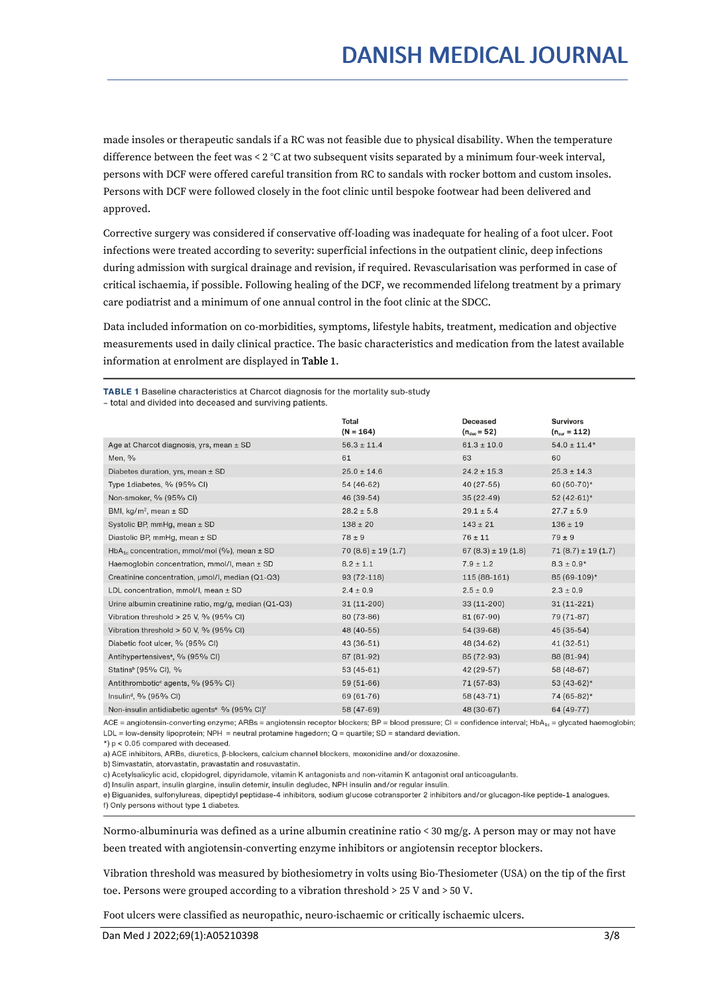made insoles or therapeutic sandals if a RC was not feasible due to physical disability. When the temperature difference between the feet was < 2 °C at two subsequent visits separated by a minimum four-week interval, persons with DCF were offered careful transition from RC to sandals with rocker bottom and custom insoles. Persons with DCF were followed closely in the foot clinic until bespoke footwear had been delivered and approved.

Corrective surgery was considered if conservative off-loading was inadequate for healing of a foot ulcer. Foot infections were treated according to severity: superficial infections in the outpatient clinic, deep infections during admission with surgical drainage and revision, if required. Revascularisation was performed in case of critical ischaemia, if possible. Following healing of the DCF, we recommended lifelong treatment by a primary care podiatrist and a minimum of one annual control in the foot clinic at the SDCC.

Data included information on co-morbidities, symptoms, lifestyle habits, treatment, medication and objective measurements used in daily clinical practice. The basic characteristics and medication from the latest available information at enrolment are displayed in Table 1.

TABLE 1 Baseline characteristics at Charcot diagnosis for the mortality sub-study

- total and divided into deceased and surviving patients.

| <b>Total</b><br>$(N = 164)$ | <b>Deceased</b><br>$(n_{\text{dec}} = 52)$ | <b>Survivors</b><br>$(n_{\rm sur} = 112)$ |
|-----------------------------|--------------------------------------------|-------------------------------------------|
| $56.3 \pm 11.4$             | $61.3 \pm 10.0$                            | $54.0 \pm 11.4*$                          |
| 61                          | 63                                         | 60                                        |
| $25.0 \pm 14.6$             | $24.2 \pm 15.3$                            | $25.3 \pm 14.3$                           |
| $54(46-62)$                 | $40(27-55)$                                | 60 (50-70)*                               |
| 46 (39-54)                  | $35(22-49)$                                | $52(42-61)$ *                             |
| $28.2 \pm 5.8$              | $29.1 \pm 5.4$                             | $27.7 \pm 5.9$                            |
| $138 \pm 20$                | $143 \pm 21$                               | $136 \pm 19$                              |
| $78 \pm 9$                  | $76 \pm 11$                                | $79 \pm 9$                                |
| $70(8.6) \pm 19(1.7)$       | $67(8.3) \pm 19(1.8)$                      | $71(8.7) \pm 19(1.7)$                     |
| $8.2 \pm 1.1$               | $7.9 \pm 1.2$                              | $8.3 \pm 0.9*$                            |
| $93(72-118)$                | $115(88-161)$                              | 85 (69-109)*                              |
| $2.4 \pm 0.9$               | $2.5 \pm 0.9$                              | $2.3 \pm 0.9$                             |
| $31(11-200)$                | $33(11-200)$                               | $31(11-221)$                              |
| 80 (73-86)                  | 81 (67-90)                                 | 79 (71-87)                                |
| 48 (40-55)                  | 54 (39-68)                                 | $45(35-54)$                               |
| $43(36-51)$                 | 48 (34-62)                                 | $41(32-51)$                               |
| 87 (81-92)                  | 85 (72-93)                                 | 88 (81-94)                                |
| $53(45-61)$                 | 42 (29-57)                                 | 58 (48-67)                                |
| $59(51-66)$                 | 71 (57-83)                                 | $53(43-62)$ *                             |
| 69 (61-76)                  | 58 (43-71)                                 | 74 (65-82)*                               |
| 58 (47-69)                  | 48 (30-67)                                 | 64 (49-77)                                |
|                             |                                            |                                           |

ACE = angiotensin-converting enzyme; ARBs = angiotensin receptor blockers; BP = blood pressure; CI = confidence interval; HbA<sub>1c</sub> = glycated haemoglobin; LDL = low-density lipoprotein; NPH = neutral protamine hagedorn;  $Q =$  quartile; SD = standard deviation.

 $\star$ )  $p < 0.05$  compared with deceased.

a) ACE inhibitors. ARBs, diuretics. 8-blockers, calcium channel blockers, moxonidine and/or doxazosine.

b) Simvastatin, atorvastatin, pravastatin and rosuvastatin.

c) Acetylsalicylic acid, clopidogrel, dipyridamole, vitamin K antagonists and non-vitamin K antagonist oral anticoagulants.

d) Insulin aspart, insulin glargine, insulin detemir, insulin degludec, NPH insulin and/or regular insulin.

e) Biguanides, sulfonylureas, dipeptidyl peptidase-4 inhibitors, sodium glucose cotransporter 2 inhibitors and/or glucagon-like peptide-1 analogues. f) Only persons without type 1 diabetes.

Normo-albuminuria was defined as a urine albumin creatinine ratio < 30 mg/g. A person may or may not have been treated with angiotensin-converting enzyme inhibitors or angiotensin receptor blockers.

Vibration threshold was measured by biothesiometry in volts using Bio-Thesiometer (USA) on the tip ofthe first toe. Persons were grouped according to a vibration threshold > 25 V and > 50 V.

Foot ulcers were classified as neuropathic, neuro-ischaemic or critically ischaemic ulcers.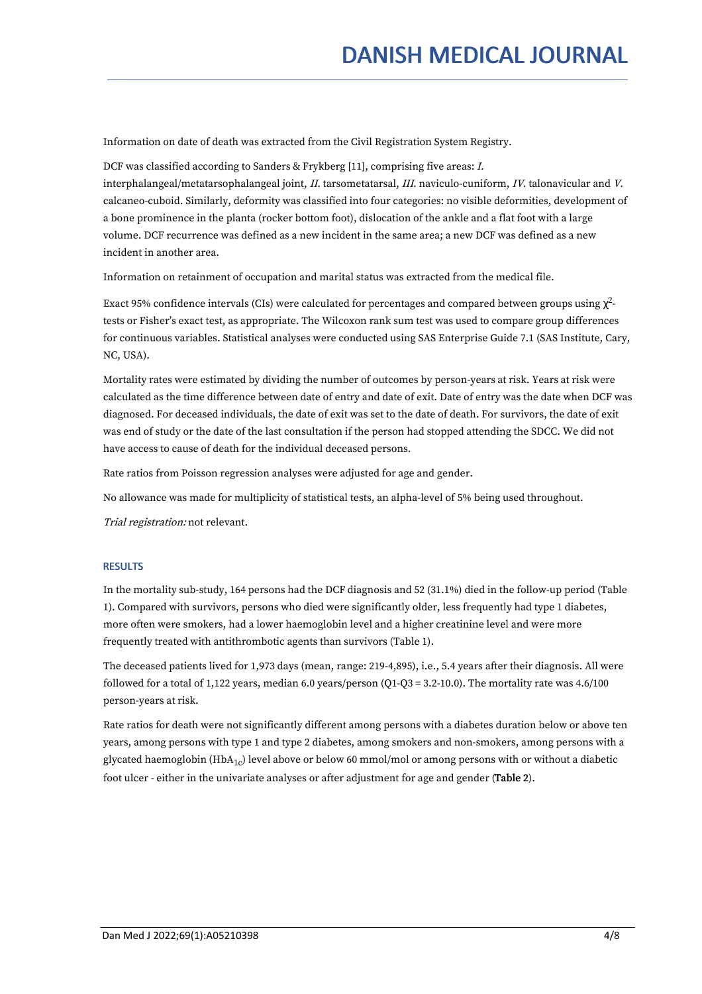Information on date of death was extracted from the Civil Registration System Registry.

DCF was classified according to Sanders & Frykberg [11], comprising five areas: I.

interphalangeal/metatarsophalangeal joint, II. tarsometatarsal, III. naviculo-cuniform, IV. talonavicular and <sup>V</sup>. calcaneo-cuboid. Similarly, deformity was classified into four categories: no visible deformities, development of a bone prominence in the planta (rocker bottom foot), dislocation of the ankle and a flat foot with a large volume. DCF recurrence was defined as a new incident in the same area; a new DCF was defined as a new incident in another area.

Information on retainment of occupation and marital status was extracted from the medical file.

Exact 95% confidence intervals (CIs) were calculated for percentages and compared between groups using  $\chi^2$ tests or Fisher's exact test, as appropriate. The Wilcoxon rank sum test was used to compare group differences for continuous variables. Statistical analyses were conducted using SAS Enterprise Guide 7.1 (SAS Institute, Cary, NC, USA).

Mortality rates were estimated by dividing the number of outcomes by person-years at risk. Years at risk were calculated as the time difference between date of entry and date of exit. Date of entry was the date when DCF was diagnosed. For deceased individuals, the date of exit was set to the date of death. For survivors, the date of exit was end of study or the date of the last consultation if the person had stopped attending the SDCC. We did not have access to cause of death for the individual deceased persons.

Rate ratios from Poisson regression analyses were adjusted for age and gender.

No allowance was made for multiplicity of statistical tests, an alpha-level of 5% being used throughout.

Trial registration: not relevant.

## **RESULTS**

In the mortality sub-study, 164 persons had the DCF diagnosis and 52 (31.1%) died in the follow-up period (Table 1). Compared with survivors, persons who died were significantly older, less frequently had type 1 diabetes, more often were smokers, had a lower haemoglobin level and a higher creatinine level and were more frequently treated with antithrombotic agents than survivors (Table 1).

The deceased patients lived for 1,973 days (mean, range: 219-4,895), i.e., 5.4 years after their diagnosis. All were followed for a total of 1,122 years, median 6.0 years/person (Q1-Q3 = 3.2-10.0). The mortality rate was 4.6/100 person-years at risk.

Rate ratios for death were not significantly different among persons with a diabetes duration below or above ten years, among persons with type 1 and type 2 diabetes, among smokers and non-smokers, among persons with a glycated haemoglobin (HbA<sub>1c</sub>) level above or below 60 mmol/mol or among persons with or without a diabetic foot ulcer -either in the univariate analyses or after adjustment for age and gender (Table 2).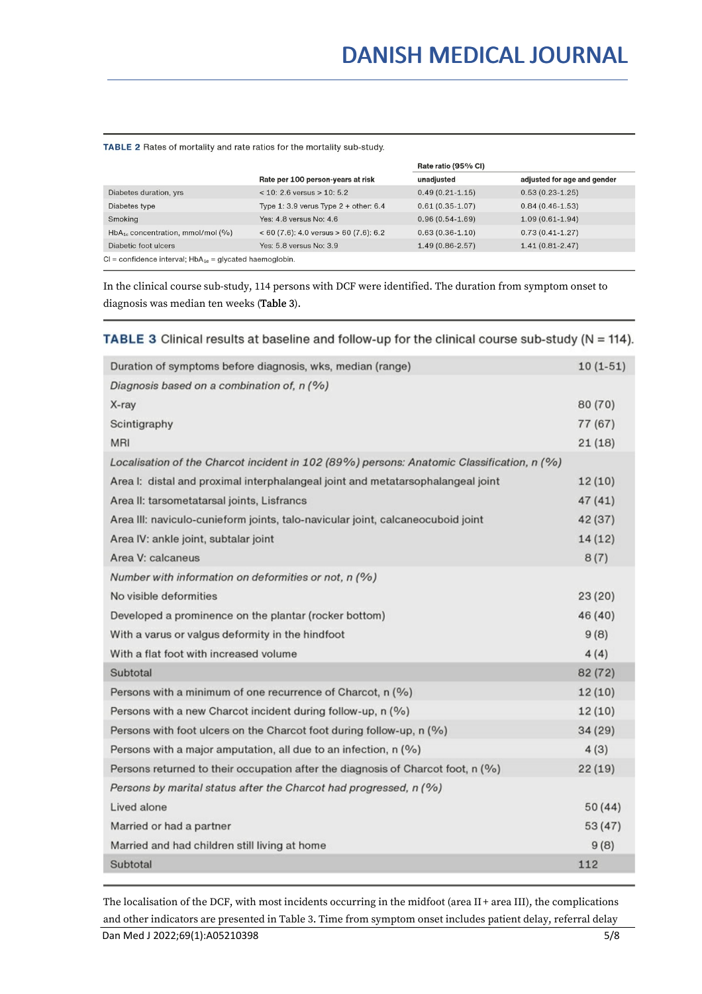#### TABLE 2 Rates of mortality and rate ratios for the mortality sub-study.

|                                                                |                                           | Rate ratio (95% CI) |                             |  |
|----------------------------------------------------------------|-------------------------------------------|---------------------|-----------------------------|--|
|                                                                | Rate per 100 person-years at risk         | unadjusted          | adjusted for age and gender |  |
| Diabetes duration, yrs                                         | $<$ 10: 2.6 versus $>$ 10: 5.2            | $0.49(0.21 - 1.15)$ | $0.53(0.23-1.25)$           |  |
| Diabetes type                                                  | Type 1: 3.9 verus Type $2 +$ other: 6.4   | $0.61(0.35-1.07)$   | $0.84(0.46-1.53)$           |  |
| Smoking                                                        | Yes: 4.8 versus No: 4.6                   | $0.96(0.54-1.69)$   | $1.09(0.61-1.94)$           |  |
| $HbA_{1c}$ concentration, mmol/mol (%)                         | $< 60 (7.6)$ : 4.0 versus > 60 (7.6): 6.2 | $0.63(0.36-1.10)$   | $0.73(0.41 - 1.27)$         |  |
| Diabetic foot ulcers                                           | Yes: 5.8 versus No: 3.9                   | $1.49(0.86 - 2.57)$ | $1.41(0.81 - 2.47)$         |  |
| $Cl =$ confidence interval; $HbA_{1c} =$ glycated haemoglobin. |                                           |                     |                             |  |

In the clinical course sub-study, 114 persons with DCF were identified. The duration from symptom onset to diagnosis was median ten weeks (Table 3).

# **TABLE 3** Clinical results at baseline and follow-up for the clinical course sub-study ( $N = 114$ ).

| Duration of symptoms before diagnosis, wks, median (range)                                | $10(1-51)$ |
|-------------------------------------------------------------------------------------------|------------|
| Diagnosis based on a combination of, n (%)                                                |            |
| X-ray                                                                                     | 80 (70)    |
| Scintigraphy                                                                              | 77 (67)    |
| <b>MRI</b>                                                                                | 21(18)     |
| Localisation of the Charcot incident in 102 (89%) persons: Anatomic Classification, n (%) |            |
| Area I: distal and proximal interphalangeal joint and metatarsophalangeal joint           | 12(10)     |
| Area II: tarsometatarsal joints, Lisfrancs                                                | 47(41)     |
| Area III: naviculo-cunieform joints, talo-navicular joint, calcaneocuboid joint           | 42 (37)    |
| Area IV: ankle joint, subtalar joint                                                      | 14(12)     |
| Area V: calcaneus                                                                         | 8(7)       |
| Number with information on deformities or not, n (%)                                      |            |
| No visible deformities                                                                    | 23(20)     |
| Developed a prominence on the plantar (rocker bottom)                                     | 46 (40)    |
| With a varus or valgus deformity in the hindfoot                                          | 9(8)       |
| With a flat foot with increased volume                                                    | 4(4)       |
| Subtotal                                                                                  | 82 (72)    |
| Persons with a minimum of one recurrence of Charcot, $n$ (%)                              | 12(10)     |
| Persons with a new Charcot incident during follow-up, n (%)                               | 12(10)     |
| Persons with foot ulcers on the Charcot foot during follow-up, n (%)                      | 34(29)     |
| Persons with a major amputation, all due to an infection, $n$ (%)                         | 4(3)       |
| Persons returned to their occupation after the diagnosis of Charcot foot, n (%)           | 22(19)     |
| Persons by marital status after the Charcot had progressed, n (%)                         |            |
| Lived alone                                                                               | 50(44)     |
| Married or had a partner                                                                  | 53(47)     |
| Married and had children still living at home                                             | 9(8)       |
| Subtotal                                                                                  | 112        |

The localisation of the DCF, with most incidents occurring in the midfoot (area II + area III), the complications and other indicators are presented in Table 3.Time from symptom onset includes patient delay, referral delay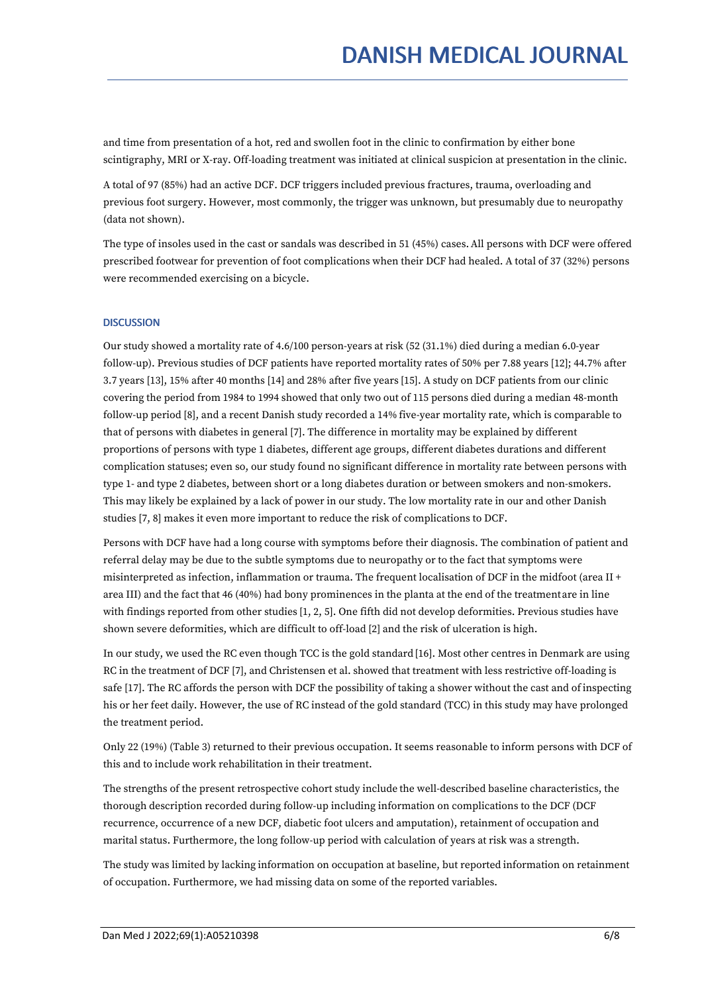and time from presentation of a hot, red and swollen foot in the clinic to confirmation by either bone scintigraphy, MRI or X-ray. Off-loading treatment was initiated at clinical suspicion at presentation in the clinic.

A total of 97 (85%) had an active DCF. DCF triggers included previous fractures, trauma, overloading and previous foot surgery. However, most commonly, the trigger was unknown, but presumably due to neuropathy (data not shown).

The type of insoles used in the cast or sandals was described in 51 (45%) cases.All persons with DCF were offered prescribed footwear for prevention of foot complications when their DCF had healed. A total of 37 (32%) persons were recommended exercising on a bicycle.

# **DISCUSSION**

Our study showed a mortality rate of 4.6/100 person-years at risk (52 (31.1%) died during a median 6.0-year follow-up). Previous studies of DCF patients have reported mortality rates of 50% per 7.88 years [12]; 44.7% after 3.7 years [13], 15% after 40 months [14] and 28% after five years [15]. A study on DCF patients from our clinic covering the period from 1984 to 1994 showed that only two out of 115 persons died during a median 48-month follow-up period [8], and a recent Danish study recorded a 14% five-year mortality rate, which is comparable to that of persons with diabetes in general [7]. The difference in mortality may be explained by different proportions of persons with type 1 diabetes, different age groups, different diabetes durations and different complication statuses; even so,our study found no significant difference in mortality rate between persons with type 1- and type 2 diabetes, between short or a long diabetes duration or between smokers and non-smokers. This may likely be explained by a lack of power in our study. The low mortality rate in our and other Danish studies [7, 8] makes it even more important to reduce the risk of complications to DCF.

Persons with DCF have had a long course with symptoms before their diagnosis. The combination of patient and referral delay may be due to the subtle symptoms due to neuropathy or to the fact that symptoms were misinterpreted as infection, inflammation or trauma. The frequent localisation of DCF in the midfoot (area II + area III) and the fact that 46 (40%) had bony prominences in the planta at the end of the treatmentare in line with findings reported from other studies [1, 2, 5]. One fifth did not develop deformities. Previous studies have shown severe deformities, which are difficult to off-load [2] and the risk of ulceration is high.

In our study, we used the RC even though TCC is the gold standard [16]. Most other centres in Denmark are using RC in the treatment of DCF [7], and Christensen et al. showed that treatment with less restrictive off-loading is safe [17]. The RC affords the person with DCF the possibility of taking a shower without the cast and ofinspecting his or her feet daily. However, the use of RC instead ofthe gold standard (TCC) in this study may have prolonged the treatment period.

Only 22 (19%) (Table 3) returned to their previous occupation. It seems reasonable to inform persons with DCF of this and to include work rehabilitation in their treatment.

The strengths of the present retrospective cohort study include the well-described baseline characteristics, the thorough description recorded during follow-up including information on complications to the DCF (DCF recurrence, occurrence of a new DCF, diabetic foot ulcers and amputation), retainment of occupation and marital status. Furthermore, the long follow-up period with calculation of years at risk was a strength.

The study was limited by lacking information on occupation at baseline, but reported information on retainment of occupation. Furthermore, we had missing data on some of the reported variables.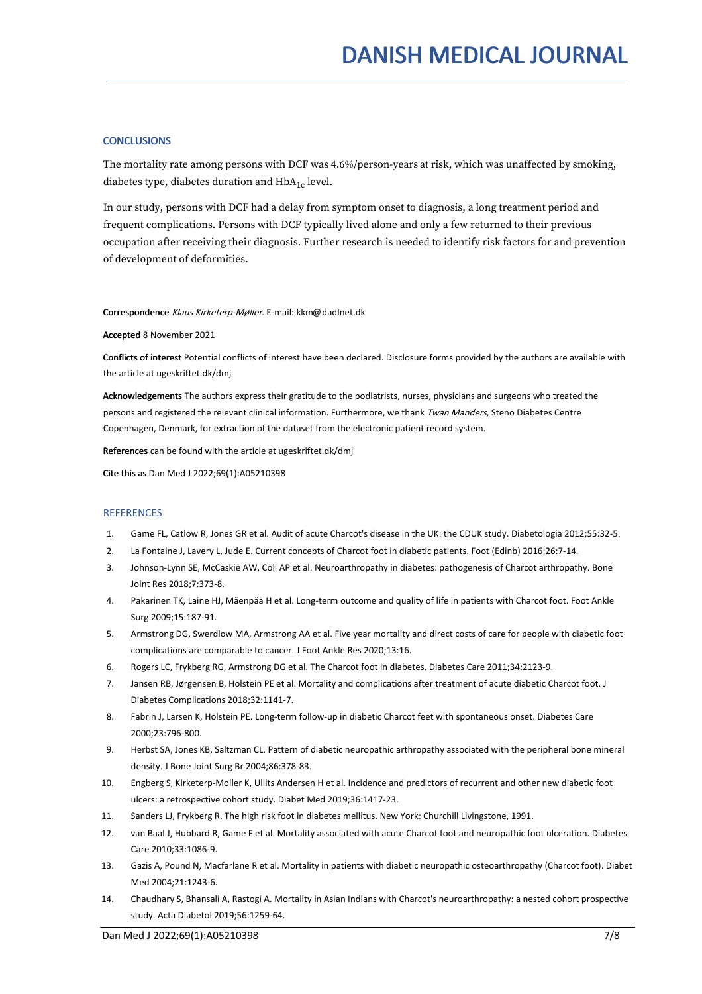## **CONCLUSIONS**

The mortality rate among persons with DCF was 4.6%/person-years at risk, which was unaffected by smoking, diabetes type, diabetes duration and  $\rm HbA_{1c}$  level.

In our study, persons with DCF had a delay from symptom onset to diagnosis, a long treatment period and frequent complications. Persons with DCF typically lived alone and only a few returned to their previous occupation after receiving their diagnosis. Further research is needed to identify risk factors for and prevention of development of deformities.

#### Correspondence Klaus Kirketerp-Møller. E-mail: kkm@dadlnet.dk

#### Accepted 8 November 2021

Conflicts of interest Potential conflicts of interest have been declared. Disclosure forms provided by the authors are available with the article at ugeskriftet.dk/dmj

Acknowledgements The authors express their gratitude to the podiatrists, nurses, physicians and surgeons who treated the persons and registered the relevant clinical information. Furthermore, we thank Twan Manders, Steno Diabetes Centre Copenhagen, Denmark, for extraction of the dataset from the electronic patient record system.

References can be found with the article at ugeskriftet.dk/dmj

Cite this as Dan Med J 2022;69(1):A05210398

#### **REFERENCES**

- 1. Game FL, Catlow R, Jones GR etal. Audit of acute Charcot's disease in the UK: the CDUK study. Diabetologia 2012;55:32-5.
- 2. La Fontaine J, Lavery L, Jude E. Current concepts of Charcot foot in diabetic patients. Foot (Edinb) 2016;26:7-14.
- 3. Johnson-Lynn SE, McCaskie AW, Coll AP et al. Neuroarthropathy in diabetes: pathogenesis of Charcot arthropathy. Bone Joint Res 2018;7:373-8.
- 4. Pakarinen TK, Laine HJ, Mäenpää H et al. Long-term outcome and quality of life in patients with Charcot foot. Foot Ankle Surg 2009;15:187-91.
- 5. Armstrong DG, Swerdlow MA, Armstrong AA et al. Five year mortality and direct costs of care for people with diabetic foot complications are comparable to cancer. J Foot Ankle Res 2020;13:16.
- 6. Rogers LC, Frykberg RG, Armstrong DG et al. The Charcot foot in diabetes. Diabetes Care 2011;34:2123-9.
- 7. Jansen RB, Jørgensen B, Holstein PE et al. Mortality and complications after treatment of acute diabetic Charcot foot. J Diabetes Complications 2018;32:1141-7.
- 8. Fabrin J, Larsen K, Holstein PE. Long-term follow-up in diabetic Charcot feet with spontaneous onset. Diabetes Care 2000;23:796-800.
- 9. Herbst SA, Jones KB, Saltzman CL. Pattern of diabetic neuropathic arthropathy associated with the peripheral bone mineral density. J Bone Joint Surg Br 2004;86:378-83.
- 10. Engberg S, Kirketerp-Moller K, Ullits Andersen H et al. Incidence and predictors of recurrent and other new diabetic foot ulcers: a retrospective cohort study. Diabet Med 2019;36:1417-23.
- 11. Sanders LJ, Frykberg R.The high risk foot in diabetes mellitus. New York: Churchill Livingstone, 1991.
- 12. van Baal J, Hubbard R, Game F et al. Mortality associated with acute Charcot foot and neuropathic foot ulceration. Diabetes Care 2010;33:1086-9.
- 13. Gazis A, Pound N, Macfarlane R et al. Mortality in patients with diabetic neuropathic osteoarthropathy (Charcot foot). Diabet Med 2004;21:1243-6.
- 14. Chaudhary S,Bhansali A, Rastogi A. Mortality in Asian Indians with Charcot's neuroarthropathy: a nested cohort prospective study. Acta Diabetol 2019;56:1259-64.